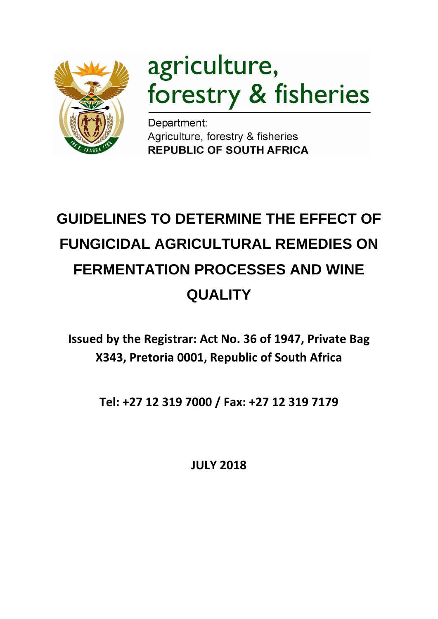

# agriculture, forestry & fisheries

Department: Agriculture, forestry & fisheries **REPUBLIC OF SOUTH AFRICA** 

# **GUIDELINES TO DETERMINE THE EFFECT OF FUNGICIDAL AGRICULTURAL REMEDIES ON FERMENTATION PROCESSES AND WINE QUALITY**

**Issued by the Registrar: Act No. 36 of 1947, Private Bag X343, Pretoria 0001, Republic of South Africa**

**Tel: +27 12 319 7000 / Fax: +27 12 319 7179**

**JULY 2018**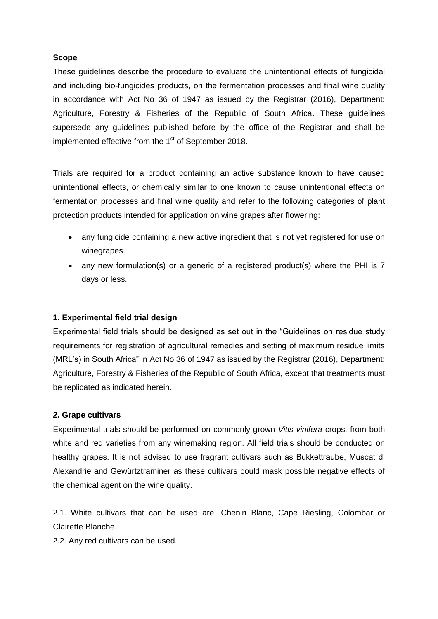#### **Scope**

These guidelines describe the procedure to evaluate the unintentional effects of fungicidal and including bio-fungicides products, on the fermentation processes and final wine quality in accordance with Act No 36 of 1947 as issued by the Registrar (2016), Department: Agriculture, Forestry & Fisheries of the Republic of South Africa. These guidelines supersede any guidelines published before by the office of the Registrar and shall be implemented effective from the 1<sup>st</sup> of September 2018.

Trials are required for a product containing an active substance known to have caused unintentional effects, or chemically similar to one known to cause unintentional effects on fermentation processes and final wine quality and refer to the following categories of plant protection products intended for application on wine grapes after flowering:

- any fungicide containing a new active ingredient that is not yet registered for use on winegrapes.
- any new formulation(s) or a generic of a registered product(s) where the PHI is 7 days or less.

#### **1. Experimental field trial design**

Experimental field trials should be designed as set out in the "Guidelines on residue study requirements for registration of agricultural remedies and setting of maximum residue limits (MRL's) in South Africa" in Act No 36 of 1947 as issued by the Registrar (2016), Department: Agriculture, Forestry & Fisheries of the Republic of South Africa, except that treatments must be replicated as indicated herein.

#### **2. Grape cultivars**

Experimental trials should be performed on commonly grown *Vitis vinifera* crops, from both white and red varieties from any winemaking region. All field trials should be conducted on healthy grapes. It is not advised to use fragrant cultivars such as Bukkettraube, Muscat d' Alexandrie and Gewürtztraminer as these cultivars could mask possible negative effects of the chemical agent on the wine quality.

2.1. White cultivars that can be used are: Chenin Blanc, Cape Riesling, Colombar or Clairette Blanche.

2.2. Any red cultivars can be used.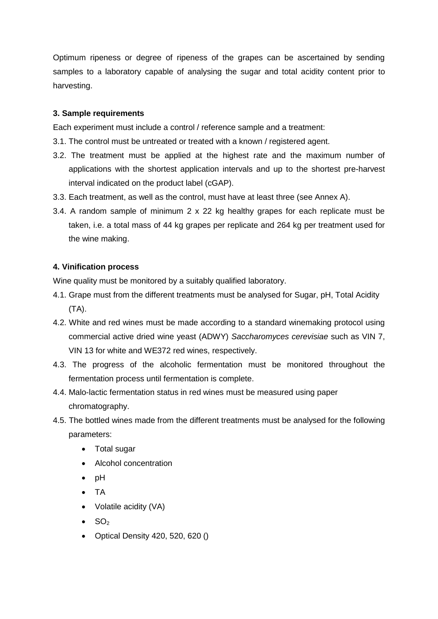Optimum ripeness or degree of ripeness of the grapes can be ascertained by sending samples to a laboratory capable of analysing the sugar and total acidity content prior to harvesting.

#### **3. Sample requirements**

Each experiment must include a control / reference sample and a treatment:

- 3.1. The control must be untreated or treated with a known / registered agent.
- 3.2. The treatment must be applied at the highest rate and the maximum number of applications with the shortest application intervals and up to the shortest pre-harvest interval indicated on the product label (cGAP).
- 3.3. Each treatment, as well as the control, must have at least three (see Annex A).
- 3.4. A random sample of minimum 2 x 22 kg healthy grapes for each replicate must be taken, i.e. a total mass of 44 kg grapes per replicate and 264 kg per treatment used for the wine making.

#### **4. Vinification process**

Wine quality must be monitored by a suitably qualified laboratory.

- 4.1. Grape must from the different treatments must be analysed for Sugar, pH, Total Acidity (TA).
- 4.2. White and red wines must be made according to a standard winemaking protocol using commercial active dried wine yeast (ADWY) *Saccharomyces cerevisiae* such as VIN 7, VIN 13 for white and WE372 red wines, respectively.
- 4.3. The progress of the alcoholic fermentation must be monitored throughout the fermentation process until fermentation is complete.
- 4.4. Malo-lactic fermentation status in red wines must be measured using paper chromatography.
- 4.5. The bottled wines made from the different treatments must be analysed for the following parameters:
	- Total sugar
	- Alcohol concentration
	- $\bullet$  pH
	- TA
	- Volatile acidity (VA)
	- $\bullet$  SO<sub>2</sub>
	- Optical Density 420, 520, 620 ()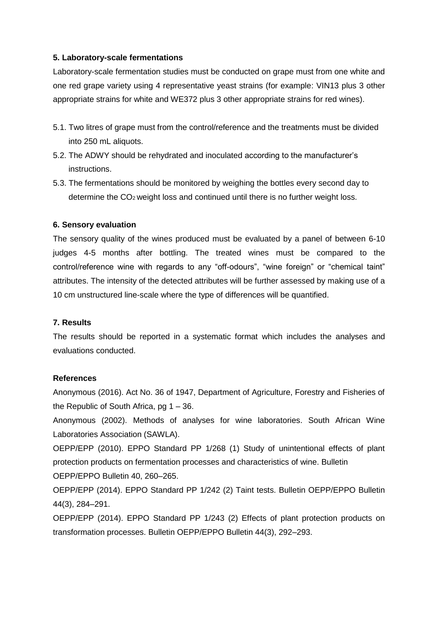#### **5. Laboratory-scale fermentations**

Laboratory-scale fermentation studies must be conducted on grape must from one white and one red grape variety using 4 representative yeast strains (for example: VIN13 plus 3 other appropriate strains for white and WE372 plus 3 other appropriate strains for red wines).

- 5.1. Two litres of grape must from the control/reference and the treatments must be divided into 250 mL aliquots.
- 5.2. The ADWY should be rehydrated and inoculated according to the manufacturer's instructions.
- 5.3. The fermentations should be monitored by weighing the bottles every second day to determine the CO2 weight loss and continued until there is no further weight loss.

#### **6. Sensory evaluation**

The sensory quality of the wines produced must be evaluated by a panel of between 6-10 judges 4-5 months after bottling. The treated wines must be compared to the control/reference wine with regards to any "off-odours", "wine foreign" or "chemical taint" attributes. The intensity of the detected attributes will be further assessed by making use of a 10 cm unstructured line-scale where the type of differences will be quantified.

#### **7. Results**

The results should be reported in a systematic format which includes the analyses and evaluations conducted.

#### **References**

Anonymous (2016). Act No. 36 of 1947, Department of Agriculture, Forestry and Fisheries of the Republic of South Africa, pg 1 – 36.

Anonymous (2002). Methods of analyses for wine laboratories. South African Wine Laboratories Association (SAWLA).

OEPP/EPP (2010). EPPO Standard PP 1/268 (1) Study of unintentional effects of plant protection products on fermentation processes and characteristics of wine. Bulletin OEPP/EPPO Bulletin 40, 260–265.

OEPP/EPP (2014). EPPO Standard PP 1/242 (2) Taint tests. Bulletin OEPP/EPPO Bulletin 44(3), 284–291.

OEPP/EPP (2014). EPPO Standard PP 1/243 (2) Effects of plant protection products on transformation processes. Bulletin OEPP/EPPO Bulletin 44(3), 292–293.